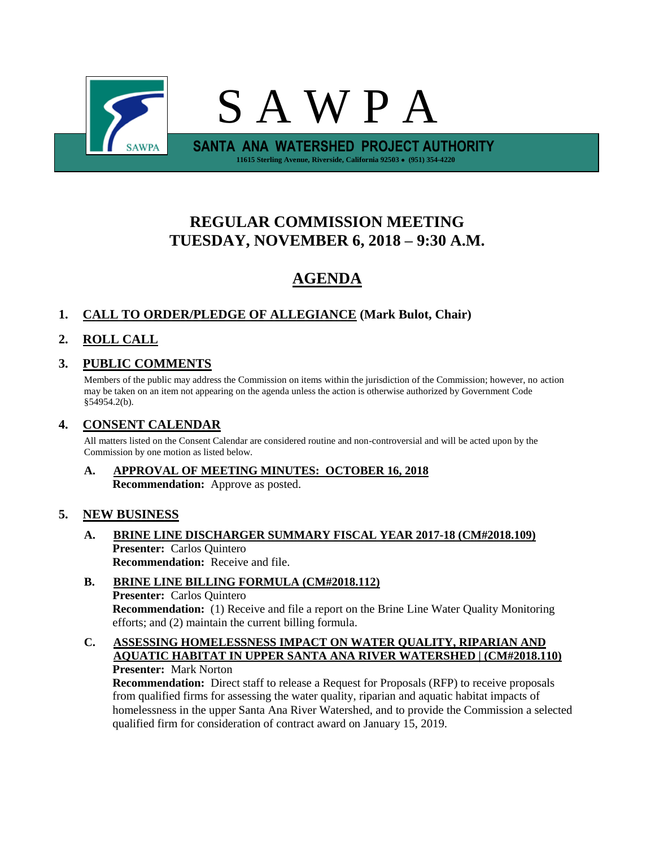

# **REGULAR COMMISSION MEETING TUESDAY, NOVEMBER 6, 2018 – 9:30 A.M.**

# **AGENDA**

## **1. CALL TO ORDER/PLEDGE OF ALLEGIANCE (Mark Bulot, Chair)**

# **2. ROLL CALL**

## **3. PUBLIC COMMENTS**

Members of the public may address the Commission on items within the jurisdiction of the Commission; however, no action may be taken on an item not appearing on the agenda unless the action is otherwise authorized by Government Code §54954.2(b).

## **4. CONSENT CALENDAR**

All matters listed on the Consent Calendar are considered routine and non-controversial and will be acted upon by the Commission by one motion as listed below.

**A. APPROVAL OF MEETING MINUTES: OCTOBER 16, 2018 Recommendation:** Approve as posted.

## **5. NEW BUSINESS**

- **A. BRINE LINE DISCHARGER SUMMARY FISCAL YEAR 2017-18 (CM#2018.109) Presenter:** Carlos Quintero **Recommendation:** Receive and file.
- **B. BRINE LINE BILLING FORMULA (CM#2018.112) Presenter:** Carlos Quintero **Recommendation:** (1) Receive and file a report on the Brine Line Water Quality Monitoring efforts; and (2) maintain the current billing formula.
- **C. ASSESSING HOMELESSNESS IMPACT ON WATER QUALITY, RIPARIAN AND AQUATIC HABITAT IN UPPER SANTA ANA RIVER WATERSHED | (CM#2018.110) Presenter:** Mark Norton

**Recommendation:** Direct staff to release a Request for Proposals (RFP) to receive proposals from qualified firms for assessing the water quality, riparian and aquatic habitat impacts of homelessness in the upper Santa Ana River Watershed, and to provide the Commission a selected qualified firm for consideration of contract award on January 15, 2019.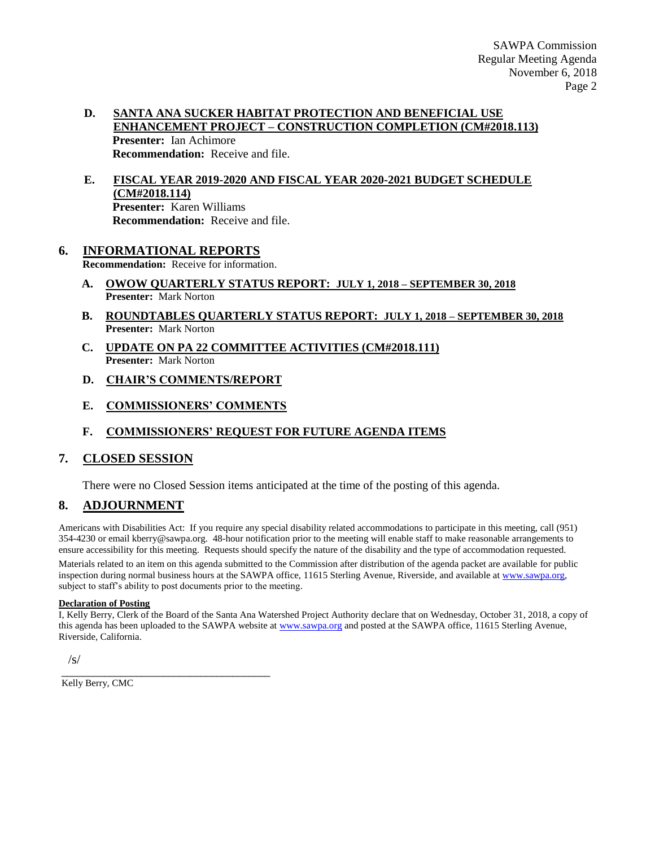### **D. SANTA ANA SUCKER HABITAT PROTECTION AND BENEFICIAL USE ENHANCEMENT PROJECT – CONSTRUCTION COMPLETION (CM#2018.113) Presenter:** Ian Achimore **Recommendation:** Receive and file.

**E. FISCAL YEAR 2019-2020 AND FISCAL YEAR 2020-2021 BUDGET SCHEDULE (CM#2018.114) Presenter:** Karen Williams **Recommendation:** Receive and file.

## **6. INFORMATIONAL REPORTS**

**Recommendation:** Receive for information.

- **A. OWOW QUARTERLY STATUS REPORT: JULY 1, 2018 – SEPTEMBER 30, 2018 Presenter:** Mark Norton
- **B. ROUNDTABLES QUARTERLY STATUS REPORT: JULY 1, 2018 – SEPTEMBER 30, 2018 Presenter:** Mark Norton
- **C. UPDATE ON PA 22 COMMITTEE ACTIVITIES (CM#2018.111) Presenter:** Mark Norton
- **D. CHAIR'S COMMENTS/REPORT**
- **E. COMMISSIONERS' COMMENTS**
- **F. COMMISSIONERS' REQUEST FOR FUTURE AGENDA ITEMS**

## **7. CLOSED SESSION**

There were no Closed Session items anticipated at the time of the posting of this agenda.

## **8. ADJOURNMENT**

Americans with Disabilities Act: If you require any special disability related accommodations to participate in this meeting, call (951) 354-4230 or email kberry@sawpa.org. 48-hour notification prior to the meeting will enable staff to make reasonable arrangements to ensure accessibility for this meeting. Requests should specify the nature of the disability and the type of accommodation requested. Materials related to an item on this agenda submitted to the Commission after distribution of the agenda packet are available for public inspection during normal business hours at the SAWPA office, 11615 Sterling Avenue, Riverside, and available a[t www.sawpa.org,](http://www.sawpa.org/) subject to staff's ability to post documents prior to the meeting.

#### **Declaration of Posting**

I, Kelly Berry, Clerk of the Board of the Santa Ana Watershed Project Authority declare that on Wednesday, October 31, 2018, a copy of this agenda has been uploaded to the SAWPA website at [www.sawpa.org](http://www.sawpa.org/) and posted at the SAWPA office, 11615 Sterling Avenue, Riverside, California.

 $\sqrt{s}$ 

Kelly Berry, CMC

\_\_\_\_\_\_\_\_\_\_\_\_\_\_\_\_\_\_\_\_\_\_\_\_\_\_\_\_\_\_\_\_\_\_\_\_\_\_\_